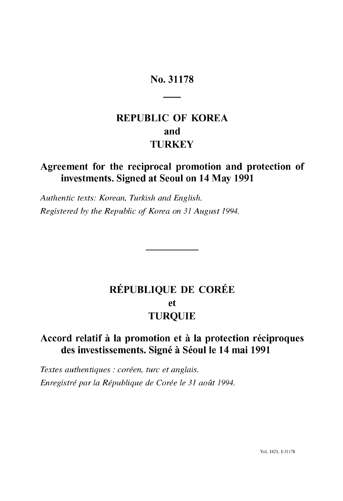## No. 31178

# **REPUBLIC OF KOREA and TURKEY**

## **Agreement for the reciprocal promotion and protection of investments. Signed at Seoul on 14 May 1991**

*Authentic texts: Korean, Turkish and English. Registered by the Republic of Korea on* 31 *August 1994.* 

# **REPUBLIQUE DE COREE et TURQUIE**

## **Accord relatif it la promotion et it la protection reciproques des investissements. Signe it** Seoul Ie **14 mai 1991**

*Textes authentiques* : *coreen, turc et anglais. Enregistre par la Republique de Coree le* 31 *aoat 1994.*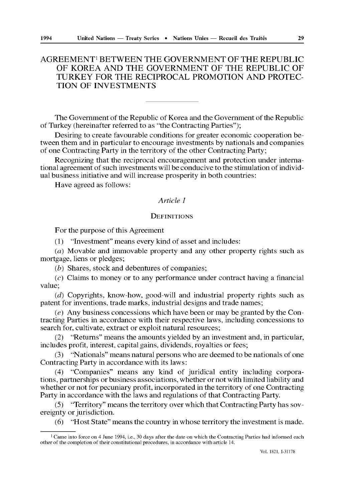## AGREEMENTI BETWEEN THE GOVERNMENT OF THE REPUBLIC OF KOREA AND THE GOVERNMENT OF THE REPUBLIC OF TURKEY FOR THE RECIPROCAL PROMOTION AND PROTEC-TION OF INVESTMENTS

The Government of the Republic of Korea and the Government of the Republic of Turkey (hereinafter referred to as "the Contracting Parties");

Desiring to create favourable conditions for greater economic cooperation between them and in particular to encourage investments by nationals and companies of one Contracting Party in the territory of the other Contracting Party;

Recognizing that the reciprocal encouragement and protection under international agreement of such investments will be conducive to the stimulation of individual business initiative and will increase prosperity in both countries:

Have agreed as follows:

## *Article 1*

## **DEFINITIONS**

For the purpose of this Agreement

(1) "mvestment" means every kind of asset and includes:

 $(a)$  Movable and immovable property and any other property rights such as mortgage, liens or pledges;

(b) Shares, stock and debentures of companies;

 $(c)$  Claims to money or to any performance under contract having a financial value;

(d) Copyrights, know-how, good-will and industrial property rights such as patent for inventions, trade marks, industrial designs and trade names;

 $(e)$  Any business concessions which have been or may be granted by the Contracting Parties in accordance with their respective laws, including concessions to search for, cultivate, extract or exploit natural resources;

(2) "Returns" means the amounts yielded by an investment and, in particular, includes profit, interest, capital gains, dividends, royalties or fees;

(3) "Nationals" means natural persons who are deemed to be nationals of one Contracting Party in accordance with its laws:

(4) "Companies" means any kind of juridical entity including corporations, partnerships or business associations, whether or not with limited liability and whether or not for pecuniary profit, incorporated in the territory of one Contracting Party in accordance with the laws and regulations of that Contracting Party.

(5) "Territory" means the territory over which that Contracting Party has sovereignty or jurisdiction.

(6) "Host State" means the country in whose territory the investment is made.

VoL 1821, I-31178

 $1$  Came into force on 4 June 1994, i.e., 30 days after the date on which the Contracting Parties had informed each other of the completion of their constitutional procedures, in accordance with article 14,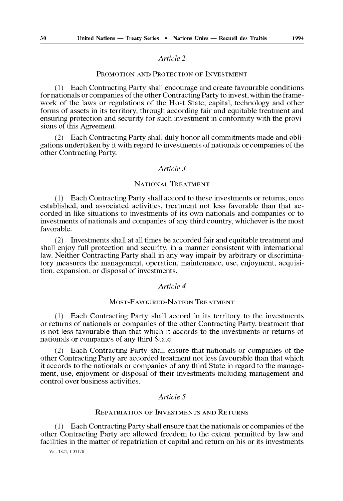## *Article 2*

## PROMOTION AND PROTECTION OF INVESTMENT

(1) Each Contracting Party shall encourage and create favourable conditions for nationals or companies of the other Contracting Party to invest, within the framework of the laws or regulations of the Host State, capital, technology and other forms of assets in its territory, through according fair and equitable treatment and ensuring protection and security for such investment in conformity with the provisions of this Agreement.

(2) Each Contracting Party shall duly honor all commitments made and obligations undertaken by it with regard to investments of nationals or companies of the other Contracting Party.

## *Article 3*

## NATIONAL TREATMENT

(l) Each Contracting Party shall accord to these investments or returns, once established, and associated activities, treatment not less favorable than that accorded in like situations to investments of its own nationals and companies or to investments of nationals and companies of any third country, whichever is the most favorable.

(2) Investments shall at all times be accorded fair and equitable treatment and shall enjoy full protection and security, in a manner consistent with international law. Neither Contracting Party shall in any way impair by arbitrary or discriminatory measures the management, operation, maintenance, use, enjoyment, acquisition, expansion, or disposal of investments.

#### *Article 4*

#### MOST-FAVOURED-NATION TREATMENT

(1) Each Contracting Party shall accord in its territory to the investments or returns of nationals or companies of the other Contracting Party, treatment that is not less favourable than that which it accords to the investments or returns of nationals or companies of any third State.

(2) Each Contracting Party shall ensure that nationals or companies of the other Contracting Party are accorded treatment not less favourable than that which it accords to the nationals or companies of any third State in regard to the management, use, enjoyment or disposal of their investments including management and control over business activities.

## *Article 5*

## REPATRIATION OF INVESTMENTS AND RETURNS

(l) Each Contracting Party shall ensure that the nationals or companies of the other Contracting Party are allowed freedom to the extent permitted by law and facilities in the matter of repatriation of capital and return on his or its investments

Vol. 1821, 1-31178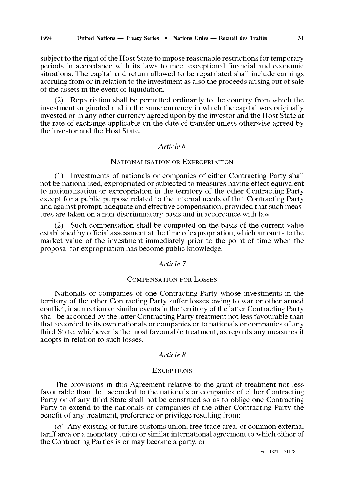subject to the right of the Host State to impose reasonable restrictions for temporary periods in accordance with its laws to meet exceptional financial and economic situations. The capital and return allowed to be repatriated shall include earnings accruing from or in relation to the investment as also the proceeds arising out of sale of the assets in the event of liquidation.

(2) Repatriation shall be permitted ordinarily to the country from which the investment originated and in the same currency in which the capital was originally invested or in any other currency agreed upon by the investor and the Host State at the rate of exchange applicable on the date of transfer unless otherwise agreed by the investor and the Host State.

## *Article 6*

## NATIONALISATION OR EXPROPRIATION

(1) mvestments of nationals or companies of either Contracting Party shall not be nationalised, expropriated or subjected to measures having effect equivalent to nationalisation or expropriation in the territory of the other Contracting Party except for a public purpose related to the internal needs of that Contracting Party and against prompt, adequate and effective compensation, provided that such measures are taken on a non-discriminatory basis and in accordance with law.

Such compensation shall be computed on the basis of the current value established by official assessment at the time of expropriation, which amounts to the market value of the investment immediately prior to the point of time when the proposal for expropriation has become public knowledge.

#### *Article 7*

#### COMPENSATION FOR LOSSES

Nationals or companies of one Contracting Party whose investments in the territory of the other Contracting Party suffer losses owing to war or other armed conflict, insurrection or similar events in the territory of the latter Contracting Party shall be accorded by the latter Contracting Party treatment not less favourable than that accorded to its own nationals or companies or to nationals or companies of any third State, whichever is the most favourable treatment, as regards any measures it adopts in relation to such losses.

## *Article 8*

#### **EXCEPTIONS**

The provisions in this Agreement relative to the grant of treatment not less favourable than that accorded to the nationals or companies of either Contracting Party or of any third State shall not be construed so as to oblige one Contracting Party to extend to the nationals or companies of the other Contracting Party the benefit of any treatment, preference or privilege resulting from:

(a) Any existing or future customs union, free trade area, or common external tariff area or a monetary union or similar international agreement to which either of the Contracting Parties is or may become a party, or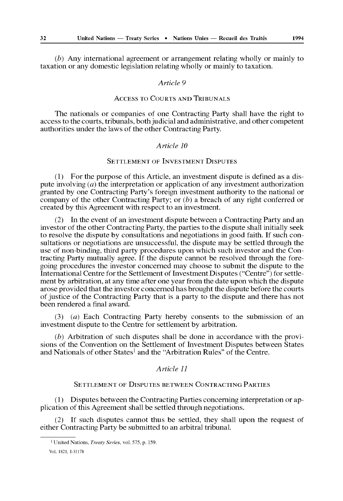(b) Any international agreement or arrangement relating wholly or mainly to taxation or any domestic legislation relating wholly or mainly to taxation.

#### *Article 9*

## ACCESS TO COURTS AND TRIBUNALS

The nationals or companies of one Contracting Party shall have the right to access to the courts, tribunals, both judicial and administrative, and other competent authorities under the laws of the other Contracting Party.

#### *Article 10*

## SETTLEMENT OF INVESTMENT DISPUTES

(1) For the purpose of this Article, an investment dispute is defined as a dispute involving  $(a)$  the interpretation or application of any investment authorization granted by one Contracting Party's foreign investment authority to the national or company of the other Contracting Party; or  $(b)$  a breach of any right conferred or created by this Agreement with respect to an investment.

(2) In the event of an investment dispute between a Contracting Party and an investor of the other Contracting Party, the parties to the dispute shall initially seek to resolve the dispute by consultations and negotiations in good faith. If such consultations or negotiations are unsuccessful, the dispute may be settled through the use of non-binding, third party procedures upon which such investor and the Contracting Party mutually agree. If the dispute cannot be resolved through the foregoing procedures the investor concerned may choose to submit the dispute to the International Centre for the Settlement of Investment Disputes ("Centre") for settlement by arbitration, at any time after one year from the date upon which the dispute arose provided that the investor concerned has brought the dispute before the courts of justice of the Contracting Party that is a party to the dispute and there has not been rendered a final award.

(3) (a) Each Contracting Party hereby consents to the submission of an investment dispute to the Centre for settlement by arbitration.

 $(b)$  Arbitration of such disputes shall be done in accordance with the provisions of the Convention on the Settlement of Investment Disputes between States and Nationals of other States<sup>1</sup> and the "Arbitration Rules" of the Centre.

## *Article 11*

## SETTLEMENT OF DISPUTES BETWEEN CONTRACTING PARTIES

(1) Disputes between the Contracting Parties concerning interpretation or application of this Agreement shall be settled through negotiations.

(2) If such disputes cannot thus be settled, they shall upon the request of either Contracting Party be submitted to an arbitral tribunal.

<sup>1</sup> United Nations, *Treaty Series,* voL 575, p, 159,

VoL 1821, 1-31178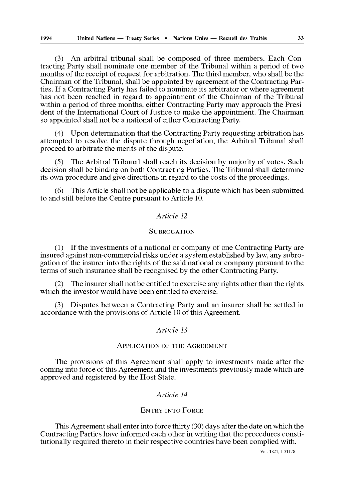(3) An arbitral tribunal shall be composed of three members. Each Contracting Party shall nominate one member of the Tribunal within a period of two months of the receipt of request for arbitration. The third member, who shall be the Chairman of the Tribunal, shall be appointed by agreement of the Contracting Parties. If a Contracting Party has failed to nominate its arbitrator or where agreement has not been reached in regard to appointment of the Chairman of the Tribunal within a period of three months, either Contracting Party may approach the President of the International Court of Justice to make the appointment. The Chairman so appointed shall not be a national of either Contracting Party.

(4) Upon determination that the Contracting Party requesting arbitration has attempted to resolve the dispute through negotiation, the Arbitral Tribunal shall proceed to arbitrate the merits of the dispute.

(5) The Arbitral Tribunal shall reach its decision by majority of votes. Such decision shall be binding on both Contracting Parties. The Tribunal shall determine its own procedure and give directions in regard to the costs of the proceedings.

(6) This Article shall not be applicable to a dispute which has been submitted to and still before the Centre pursuant to Article 10.

## *Article 12*

## **SUBROGATION**

(l) If the investments of a national or company of one Contracting Party are insured against non-commercial risks under a system established by law, any subrogation of the insurer into the rights of the said national or company pursuant to the terms of such insurance shall be recognised by the other Contracting Party.

(2) The insurer shall not be entitled to exercise any rights other than the rights which the investor would have been entitled to exercise.

(3) Disputes between a Contracting Party and an insurer shall be settled in accordance with the provisions of Article lO of this Agreement.

#### *Article 13*

#### ApPLICATION OF THE AGREEMENT

The provisions of this Agreement shall apply to investments made after the coming into force of this Agreement and the investments previously made which are approved and registered by the Host State.

## *Article 14*

## ENTRY INTO FORCE

This Agreement shall enter into force thirty (30) days after the date on which the Contracting Parties have informed each other in writing that the procedures constitutionally required thereto in their respective countries have been complied with.

Vol. 1821, 1-31178